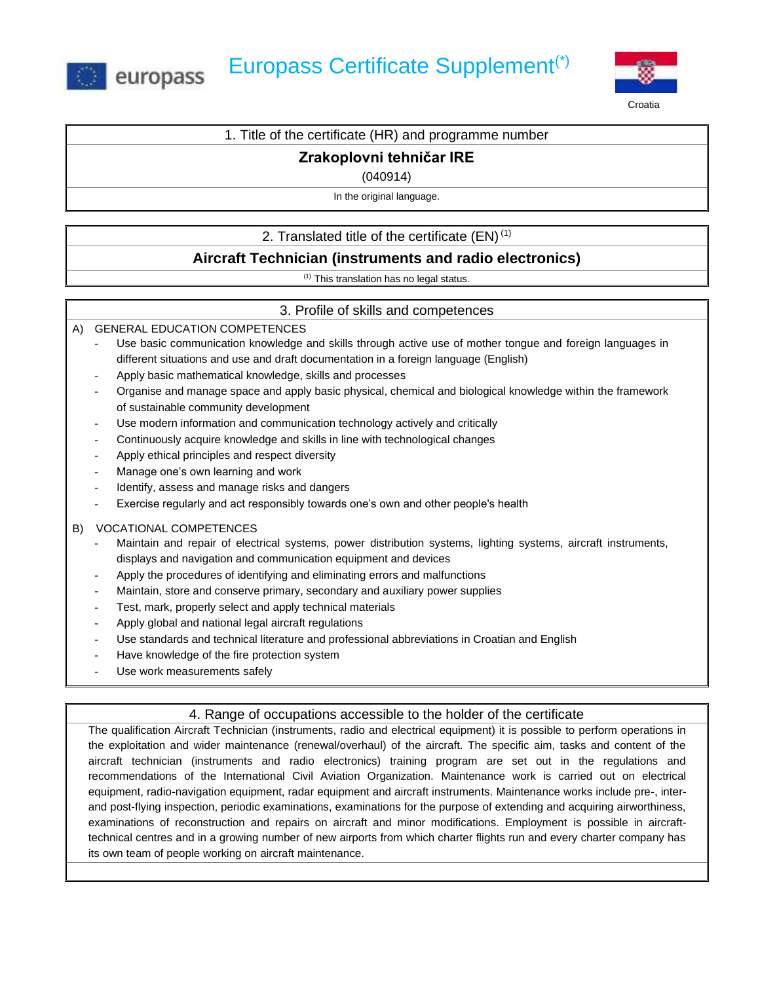



Croatia

| 1. Title of the certificate (HR) and programme number |  |  |  |
|-------------------------------------------------------|--|--|--|
|-------------------------------------------------------|--|--|--|

### **Zrakoplovni tehničar IRE**

(040914)

In the original language.

### 2. Translated title of the certificate  $(EN)^{(1)}$

# **Aircraft Technician (instruments and radio electronics)**

(1) This translation has no legal status.

### 3. Profile of skills and competences

A) GENERAL EDUCATION COMPETENCES

- Use basic communication knowledge and skills through active use of mother tongue and foreign languages in different situations and use and draft documentation in a foreign language (English)
- Apply basic mathematical knowledge, skills and processes
- Organise and manage space and apply basic physical, chemical and biological knowledge within the framework of sustainable community development
- Use modern information and communication technology actively and critically
- Continuously acquire knowledge and skills in line with technological changes
- Apply ethical principles and respect diversity
- Manage one's own learning and work
- Identify, assess and manage risks and dangers
- Exercise regularly and act responsibly towards one's own and other people's health

#### B) VOCATIONAL COMPETENCES

- Maintain and repair of electrical systems, power distribution systems, lighting systems, aircraft instruments, displays and navigation and communication equipment and devices
- Apply the procedures of identifying and eliminating errors and malfunctions
- Maintain, store and conserve primary, secondary and auxiliary power supplies
- Test, mark, properly select and apply technical materials
- Apply global and national legal aircraft regulations
- Use standards and technical literature and professional abbreviations in Croatian and English
- Have knowledge of the fire protection system
- Use work measurements safely

#### 4. Range of occupations accessible to the holder of the certificate

The qualification Aircraft Technician (instruments, radio and electrical equipment) it is possible to perform operations in the exploitation and wider maintenance (renewal/overhaul) of the aircraft. The specific aim, tasks and content of the aircraft technician (instruments and radio electronics) training program are set out in the regulations and recommendations of the International Civil Aviation Organization. Maintenance work is carried out on electrical equipment, radio-navigation equipment, radar equipment and aircraft instruments. Maintenance works include pre-, interand post-flying inspection, periodic examinations, examinations for the purpose of extending and acquiring airworthiness, examinations of reconstruction and repairs on aircraft and minor modifications. Employment is possible in aircrafttechnical centres and in a growing number of new airports from which charter flights run and every charter company has its own team of people working on aircraft maintenance.